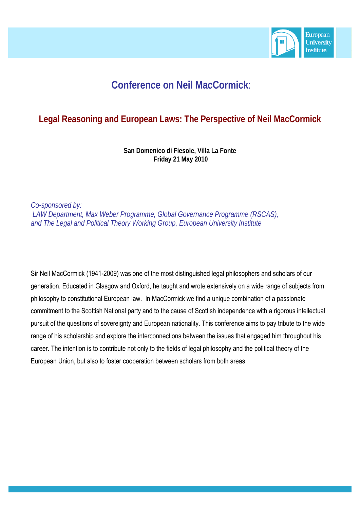

# **Conference on Neil MacCormick**:

## **Legal Reasoning and European Laws: The Perspective of Neil MacCormick**

**San Domenico di Fiesole, Villa La Fonte Friday 21 May 2010** 

*Co-sponsored by: LAW Department, Max Weber Programme, Global Governance Programme (RSCAS),*  and The Legal and Political Theory Working Group, European University Institute

Sir Neil MacCormick (1941-2009) was one of the most distinguished legal philosophers and scholars of our generation. Educated in Glasgow and Oxford, he taught and wrote extensively on a wide range of subjects from philosophy to constitutional European law. In MacCormick we find a unique combination of a passionate commitment to the Scottish National party and to the cause of Scottish independence with a rigorous intellectual pursuit of the questions of sovereignty and European nationality. This conference aims to pay tribute to the wide range of his scholarship and explore the interconnections between the issues that engaged him throughout his career. The intention is to contribute not only to the fields of legal philosophy and the political theory of the European Union, but also to foster cooperation between scholars from both areas.